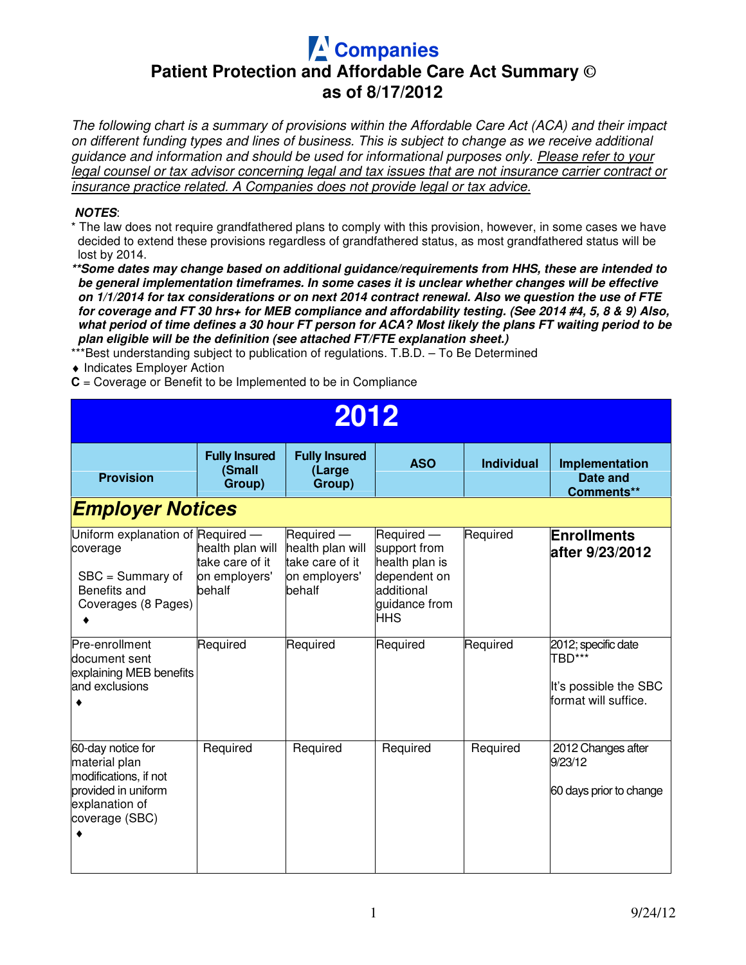## **Companies Patient Protection and Affordable Care Act Summary © as of 8/17/2012**

The following chart is a summary of provisions within the Affordable Care Act (ACA) and their impact on different funding types and lines of business. This is subject to change as we receive additional guidance and information and should be used for informational purposes only. Please refer to your legal counsel or tax advisor concerning legal and tax issues that are not insurance carrier contract or insurance practice related. A Companies does not provide legal or tax advice.

## Ξ **NOTES**:

\* The law does not require grandfathered plans to comply with this provision, however, in some cases we have decided to extend these provisions regardless of grandfathered status, as most grandfathered status will be lost by 2014.

**\*\*Some dates may change based on additional guidance/requirements from HHS, these are intended to be general implementation timeframes. In some cases it is unclear whether changes will be effective on 1/1/2014 for tax considerations or on next 2014 contract renewal. Also we question the use of FTE for coverage and FT 30 hrs+ for MEB compliance and affordability testing. (See 2014 #4, 5, 8 & 9) Also, what period of time defines a 30 hour FT person for ACA? Most likely the plans FT waiting period to be plan eligible will be the definition (see attached FT/FTE explanation sheet.)** 

\*\*\*Best understanding subject to publication of regulations. T.B.D. - To Be Determined

♦ Indicates Employer Action

**C** = Coverage or Benefit to be Implemented to be in Compliance

| 2012                                                                                                                   |                                                                |                                                                              |                                                                                                           |                   |                                                                                |  |  |  |
|------------------------------------------------------------------------------------------------------------------------|----------------------------------------------------------------|------------------------------------------------------------------------------|-----------------------------------------------------------------------------------------------------------|-------------------|--------------------------------------------------------------------------------|--|--|--|
| <b>Provision</b>                                                                                                       | <b>Fully Insured</b><br>(Small<br>Group)                       | <b>Fully Insured</b><br>(Large<br>Group)                                     | <b>ASO</b>                                                                                                | <b>Individual</b> | Implementation<br>Date and<br>Comments**                                       |  |  |  |
| <b>Employer Notices</b>                                                                                                |                                                                |                                                                              |                                                                                                           |                   |                                                                                |  |  |  |
| Uniform explanation of Required -<br>coverage<br>$SBC = Summary$ of<br>Benefits and<br>Coverages (8 Pages)             | health plan will<br>take care of it<br>on employers'<br>behalf | Required -<br>health plan will<br>take care of it<br>on employers'<br>behalf | Required -<br>support from<br>health plan is<br>dependent on<br>additional<br>guidance from<br><b>HHS</b> | Required          | <b>Enrollments</b><br>after 9/23/2012                                          |  |  |  |
| Pre-enrollment<br>document sent<br>explaining MEB benefits<br>and exclusions                                           | Required                                                       | Required                                                                     | Required                                                                                                  | Required          | 2012; specific date<br>TBD***<br>It's possible the SBC<br>format will suffice. |  |  |  |
| 60-day notice for<br>material plan<br>modifications, if not<br>provided in uniform<br>explanation of<br>coverage (SBC) | Required                                                       | Required                                                                     | Required                                                                                                  | Required          | 2012 Changes after<br>9/23/12<br>60 days prior to change                       |  |  |  |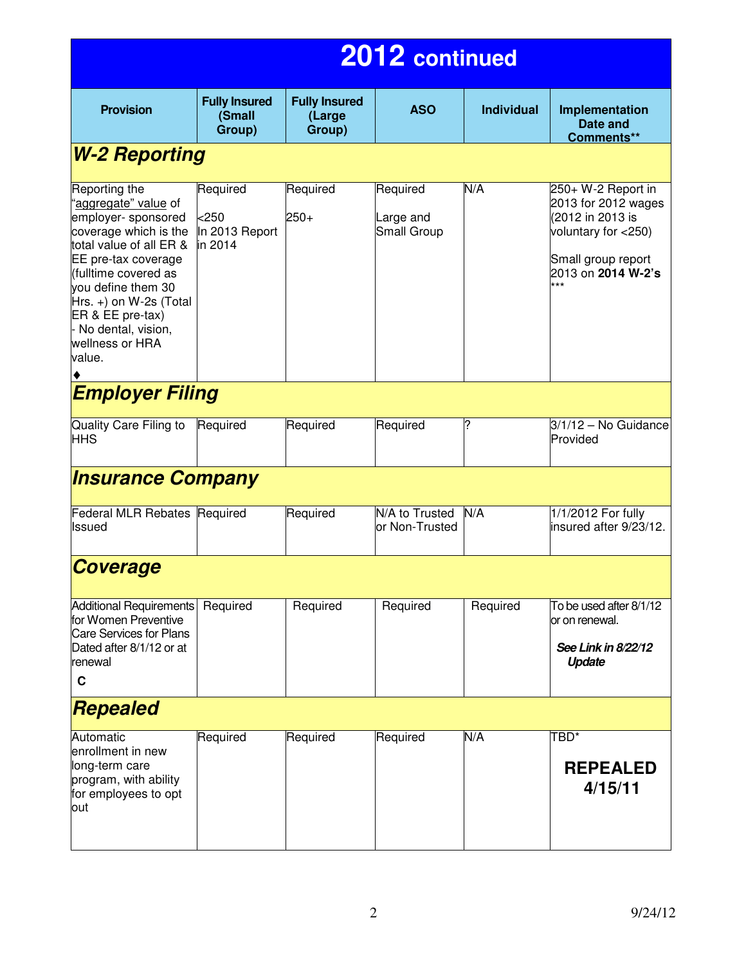| 2012 continued                                                                                                                                                                                                                                                                              |                                                  |                                          |                                      |                   |                                                                                                                                         |  |  |
|---------------------------------------------------------------------------------------------------------------------------------------------------------------------------------------------------------------------------------------------------------------------------------------------|--------------------------------------------------|------------------------------------------|--------------------------------------|-------------------|-----------------------------------------------------------------------------------------------------------------------------------------|--|--|
| <b>Provision</b>                                                                                                                                                                                                                                                                            | <b>Fully Insured</b><br>(Small<br>Group)         | <b>Fully Insured</b><br>(Large<br>Group) | <b>ASO</b>                           | <b>Individual</b> | Implementation<br>Date and<br>Comments**                                                                                                |  |  |
| <b>W-2 Reporting</b>                                                                                                                                                                                                                                                                        |                                                  |                                          |                                      |                   |                                                                                                                                         |  |  |
| Reporting the<br>'aggregate" value of<br>employer- sponsored<br>coverage which is the<br>total value of all ER &<br>EE pre-tax coverage<br>(fulltime covered as<br>vou define them 30<br>$Hrs. +$ ) on W-2s (Total<br>ER & EE pre-tax)<br>- No dental, vision,<br>wellness or HRA<br>value. | Required<br>$<$ 250<br>In 2013 Report<br>in 2014 | Required<br>$250+$                       | Required<br>Large and<br>Small Group | N/A               | 250+ W-2 Report in<br>2013 for 2012 wages<br>(2012 in 2013 is<br>voluntary for <250)<br>Small group report<br>2013 on 2014 W-2's<br>*** |  |  |
| <b>Employer Filing</b>                                                                                                                                                                                                                                                                      |                                                  |                                          |                                      |                   |                                                                                                                                         |  |  |
| Quality Care Filing to<br>HHS                                                                                                                                                                                                                                                               | Required                                         | Required                                 | Required                             | ?                 | $3/1/12$ – No Guidance<br>Provided                                                                                                      |  |  |
| <b>Insurance Company</b>                                                                                                                                                                                                                                                                    |                                                  |                                          |                                      |                   |                                                                                                                                         |  |  |
| Federal MLR Rebates Required<br>lssued                                                                                                                                                                                                                                                      |                                                  | Required                                 | N/A to Trusted<br>or Non-Trusted     | N/A               | 1/1/2012 For fully<br>insured after 9/23/12.                                                                                            |  |  |
| <b>Coverage</b>                                                                                                                                                                                                                                                                             |                                                  |                                          |                                      |                   |                                                                                                                                         |  |  |
| Additional Requirements<br>for Women Preventive<br>Care Services for Plans<br>Dated after 8/1/12 or at<br>renewal<br>$\mathbf c$                                                                                                                                                            | Required                                         | Required                                 | Required                             | Required          | To be used after 8/1/12<br>or on renewal.<br>See Link in 8/22/12<br>Update                                                              |  |  |
| Repealed                                                                                                                                                                                                                                                                                    |                                                  |                                          |                                      |                   |                                                                                                                                         |  |  |
| Automatic<br>enrollment in new<br>long-term care<br>program, with ability<br>for employees to opt<br>out                                                                                                                                                                                    | Required                                         | Required                                 | Required                             | N/A               | TBD*<br><b>REPEALED</b><br>4/15/11                                                                                                      |  |  |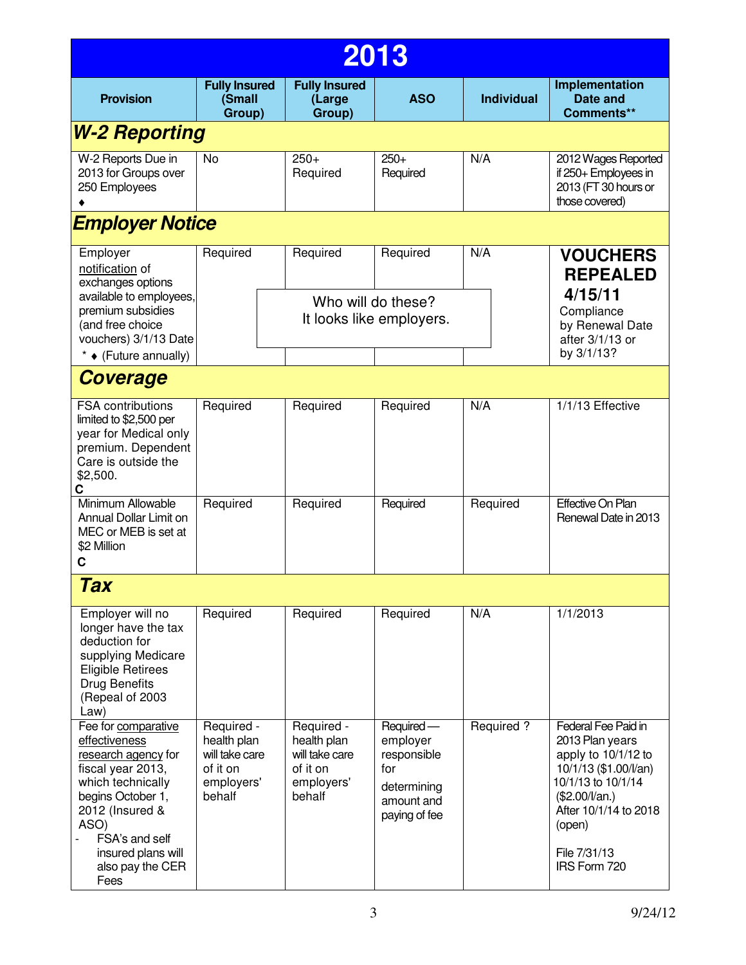| 2013                                                                                                                                                                                                                      |                                                                                 |                                                                                 |                                                                                           |                   |                                                                                                                                                                                                          |  |  |  |  |
|---------------------------------------------------------------------------------------------------------------------------------------------------------------------------------------------------------------------------|---------------------------------------------------------------------------------|---------------------------------------------------------------------------------|-------------------------------------------------------------------------------------------|-------------------|----------------------------------------------------------------------------------------------------------------------------------------------------------------------------------------------------------|--|--|--|--|
| <b>Provision</b>                                                                                                                                                                                                          | <b>Fully Insured</b><br>(Small<br>Group)                                        | <b>Fully Insured</b><br>(Large<br>Group)                                        | <b>ASO</b>                                                                                | <b>Individual</b> | <b>Implementation</b><br>Date and<br>Comments**                                                                                                                                                          |  |  |  |  |
| <b>W-2 Reporting</b>                                                                                                                                                                                                      |                                                                                 |                                                                                 |                                                                                           |                   |                                                                                                                                                                                                          |  |  |  |  |
| W-2 Reports Due in<br>2013 for Groups over<br>250 Employees                                                                                                                                                               | No                                                                              | $250+$<br>Required                                                              | $250+$<br>Required                                                                        | N/A               | 2012 Wages Reported<br>if 250+ Employees in<br>2013 (FT 30 hours or<br>those covered)                                                                                                                    |  |  |  |  |
| <b>Employer Notice</b>                                                                                                                                                                                                    |                                                                                 |                                                                                 |                                                                                           |                   |                                                                                                                                                                                                          |  |  |  |  |
| Employer<br>notification of<br>exchanges options                                                                                                                                                                          | Required                                                                        | Required                                                                        | Required                                                                                  | N/A               | <b>VOUCHERS</b><br><b>REPEALED</b>                                                                                                                                                                       |  |  |  |  |
| available to employees,<br>premium subsidies<br>(and free choice<br>vouchers) 3/1/13 Date                                                                                                                                 |                                                                                 |                                                                                 | Who will do these?<br>It looks like employers.                                            |                   | 4/15/11<br>Compliance<br>by Renewal Date<br>after 3/1/13 or                                                                                                                                              |  |  |  |  |
| * $\bullet$ (Future annually)                                                                                                                                                                                             |                                                                                 |                                                                                 |                                                                                           |                   | by 3/1/13?                                                                                                                                                                                               |  |  |  |  |
| <b>Coverage</b><br><b>FSA contributions</b><br>limited to \$2,500 per<br>year for Medical only<br>premium. Dependent<br>Care is outside the<br>\$2,500.                                                                   | Required                                                                        | Required                                                                        | Required                                                                                  | N/A               | 1/1/13 Effective                                                                                                                                                                                         |  |  |  |  |
| C<br>Minimum Allowable<br>Annual Dollar Limit on<br>MEC or MEB is set at<br>\$2 Million<br>С                                                                                                                              | Required                                                                        | Required                                                                        | Required                                                                                  | Required          | Effective On Plan<br>Renewal Date in 2013                                                                                                                                                                |  |  |  |  |
| Tax                                                                                                                                                                                                                       |                                                                                 |                                                                                 |                                                                                           |                   |                                                                                                                                                                                                          |  |  |  |  |
| Employer will no<br>longer have the tax<br>deduction for<br>supplying Medicare<br><b>Eligible Retirees</b><br><b>Drug Benefits</b><br>(Repeal of 2003<br>Law)                                                             | Required                                                                        | Required                                                                        | Required                                                                                  | N/A               | 1/1/2013                                                                                                                                                                                                 |  |  |  |  |
| Fee for comparative<br>effectiveness<br>research agency for<br>fiscal year 2013,<br>which technically<br>begins October 1,<br>2012 (Insured &<br>ASO)<br>FSA's and self<br>insured plans will<br>also pay the CER<br>Fees | Required -<br>health plan<br>will take care<br>of it on<br>employers'<br>behalf | Required -<br>health plan<br>will take care<br>of it on<br>employers'<br>behalf | Required-<br>employer<br>responsible<br>for<br>determining<br>amount and<br>paying of fee | Required?         | <b>Federal Fee Paid in</b><br>2013 Plan years<br>apply to 10/1/12 to<br>10/1/13 (\$1.00/l/an)<br>10/1/13 to 10/1/14<br>(\$2.00/l/an.)<br>After 10/1/14 to 2018<br>(open)<br>File 7/31/13<br>IRS Form 720 |  |  |  |  |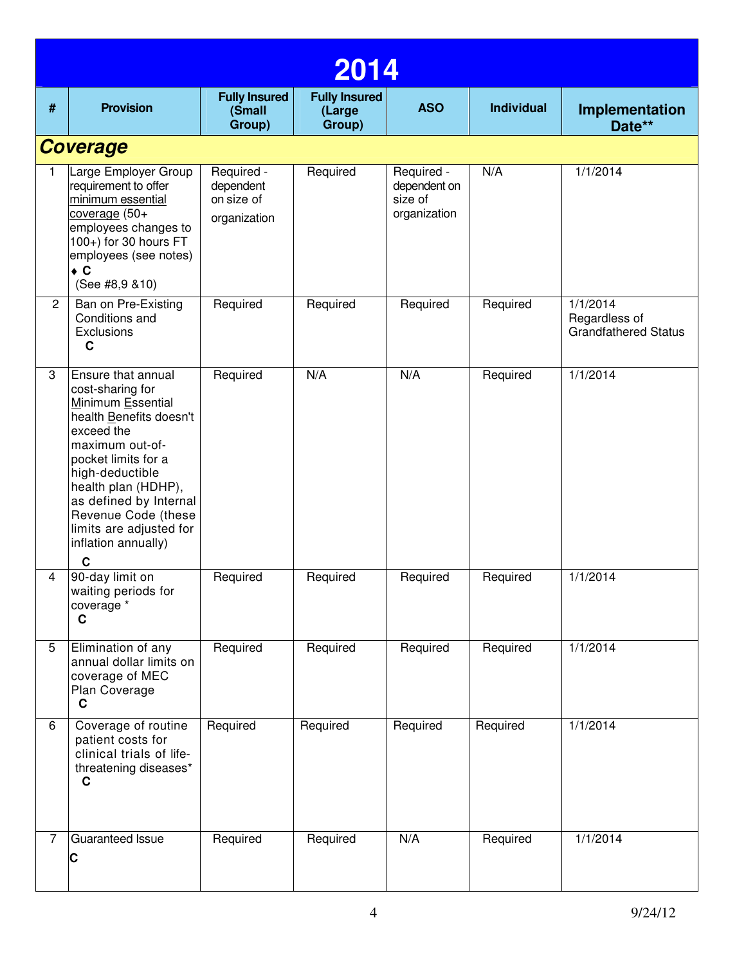|                | 2014                                                                                                                                                                                                                                                                                             |                                                       |                                          |                                                       |                   |                                                          |  |  |  |  |
|----------------|--------------------------------------------------------------------------------------------------------------------------------------------------------------------------------------------------------------------------------------------------------------------------------------------------|-------------------------------------------------------|------------------------------------------|-------------------------------------------------------|-------------------|----------------------------------------------------------|--|--|--|--|
| #              | <b>Provision</b>                                                                                                                                                                                                                                                                                 | <b>Fully Insured</b><br>(Small<br>Group)              | <b>Fully Insured</b><br>(Large<br>Group) | <b>ASO</b>                                            | <b>Individual</b> | Implementation<br>Date**                                 |  |  |  |  |
|                | <b>Coverage</b>                                                                                                                                                                                                                                                                                  |                                                       |                                          |                                                       |                   |                                                          |  |  |  |  |
| 1.             | Large Employer Group<br>requirement to offer<br>minimum essential<br>coverage (50+<br>employees changes to<br>100+) for 30 hours FT<br>employees (see notes)<br>$\bullet$ C<br>(See #8,9 & 10)                                                                                                   | Required -<br>dependent<br>on size of<br>organization | Required                                 | Required -<br>dependent on<br>size of<br>organization | N/A               | 1/1/2014                                                 |  |  |  |  |
| $\overline{2}$ | Ban on Pre-Existing<br>Conditions and<br>Exclusions<br>C                                                                                                                                                                                                                                         | Required                                              | Required                                 | Required                                              | Required          | 1/1/2014<br>Regardless of<br><b>Grandfathered Status</b> |  |  |  |  |
| 3              | Ensure that annual<br>cost-sharing for<br>Minimum Essential<br>health Benefits doesn't<br>exceed the<br>maximum out-of-<br>pocket limits for a<br>high-deductible<br>health plan (HDHP),<br>as defined by Internal<br>Revenue Code (these<br>limits are adjusted for<br>inflation annually)<br>C | Required                                              | N/A                                      | N/A                                                   | Required          | 1/1/2014                                                 |  |  |  |  |
| 4              | 90-day limit on<br>waiting periods for<br>coverage *<br>$\mathbf c$                                                                                                                                                                                                                              | Required                                              | Required                                 | Required                                              | Required          | 1/1/2014                                                 |  |  |  |  |
| 5              | Elimination of any<br>annual dollar limits on<br>coverage of MEC<br>Plan Coverage<br>$\mathbf c$                                                                                                                                                                                                 | Required                                              | Required                                 | Required                                              | Required          | 1/1/2014                                                 |  |  |  |  |
| 6              | Coverage of routine<br>patient costs for<br>clinical trials of life-<br>threatening diseases*<br>C                                                                                                                                                                                               | Required                                              | Required                                 | Required                                              | Required          | 1/1/2014                                                 |  |  |  |  |
| 7              | Guaranteed Issue<br>C                                                                                                                                                                                                                                                                            | Required                                              | Required                                 | N/A                                                   | Required          | 1/1/2014                                                 |  |  |  |  |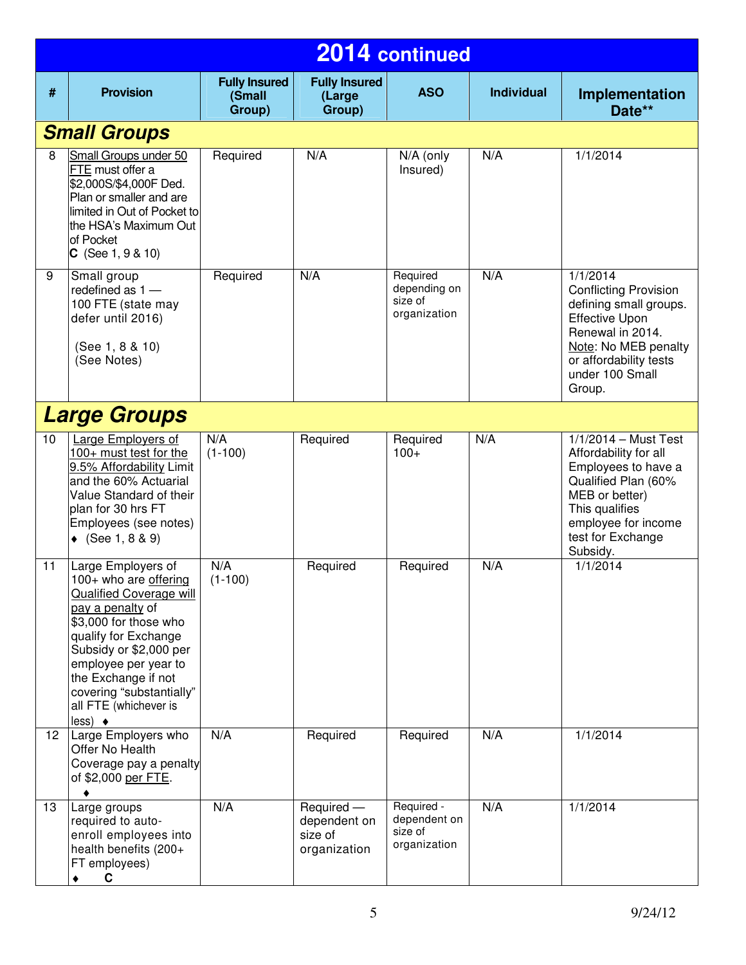|                 | 2014 continued                                                                                                                                                                                                                                                                                     |                                          |                                                       |                                                       |                   |                                                                                                                                                                                                  |  |
|-----------------|----------------------------------------------------------------------------------------------------------------------------------------------------------------------------------------------------------------------------------------------------------------------------------------------------|------------------------------------------|-------------------------------------------------------|-------------------------------------------------------|-------------------|--------------------------------------------------------------------------------------------------------------------------------------------------------------------------------------------------|--|
| #               | <b>Provision</b>                                                                                                                                                                                                                                                                                   | <b>Fully Insured</b><br>(Small<br>Group) | <b>Fully Insured</b><br>(Large<br>Group)              | <b>ASO</b>                                            | <b>Individual</b> | Implementation<br>Date**                                                                                                                                                                         |  |
|                 | <b>Small Groups</b>                                                                                                                                                                                                                                                                                |                                          |                                                       |                                                       |                   |                                                                                                                                                                                                  |  |
| 8               | Small Groups under 50<br>FTE must offer a<br>\$2,000S/\$4,000F Ded.<br>Plan or smaller and are<br>limited in Out of Pocket to<br>the HSA's Maximum Out<br>of Pocket<br>$C$ (See 1, 9 & 10)                                                                                                         | Required                                 | N/A                                                   | N/A (only<br>Insured)                                 | N/A               | 1/1/2014                                                                                                                                                                                         |  |
| 9               | Small group<br>redefined as $1 -$<br>100 FTE (state may<br>defer until 2016)<br>(See 1, 8 & 10)<br>(See Notes)                                                                                                                                                                                     | Required                                 | N/A                                                   | Required<br>depending on<br>size of<br>organization   | N/A               | 1/1/2014<br><b>Conflicting Provision</b><br>defining small groups.<br><b>Effective Upon</b><br>Renewal in 2014.<br>Note: No MEB penalty<br>or affordability tests<br>under 100 Small<br>Group.   |  |
|                 | <b>Large Groups</b>                                                                                                                                                                                                                                                                                |                                          |                                                       |                                                       |                   |                                                                                                                                                                                                  |  |
| 10              | Large Employers of<br>100+ must test for the<br>9.5% Affordability Limit<br>and the 60% Actuarial<br>Value Standard of their<br>plan for 30 hrs FT<br>Employees (see notes)<br>◆ $(See 1, 8 & 9)$                                                                                                  | N/A<br>$(1-100)$                         | Required                                              | Required<br>$100+$                                    | N/A               | $1/1/2014 - \text{Must Test}$<br>Affordability for all<br>Employees to have a<br>Qualified Plan (60%<br>MEB or better)<br>This qualifies<br>employee for income<br>test for Exchange<br>Subsidy. |  |
| 11              | Large Employers of<br>100+ who are offering<br>Qualified Coverage will<br>pay a penalty of<br>\$3,000 for those who<br>qualify for Exchange<br>Subsidy or \$2,000 per<br>employee per year to<br>the Exchange if not<br>covering "substantially"<br>all FTE (whichever is<br>$less)$ $\rightarrow$ | N/A<br>$(1-100)$                         | Required                                              | Required                                              | N/A               | 1/1/2014                                                                                                                                                                                         |  |
| 12 <sub>2</sub> | Large Employers who<br>Offer No Health<br>Coverage pay a penalty<br>of \$2,000 per FTE.                                                                                                                                                                                                            | N/A                                      | Required                                              | Required                                              | N/A               | 1/1/2014                                                                                                                                                                                         |  |
| 13              | Large groups<br>required to auto-<br>enroll employees into<br>health benefits (200+<br>FT employees)<br>C<br>٠                                                                                                                                                                                     | N/A                                      | Required -<br>dependent on<br>size of<br>organization | Required -<br>dependent on<br>size of<br>organization | N/A               | 1/1/2014                                                                                                                                                                                         |  |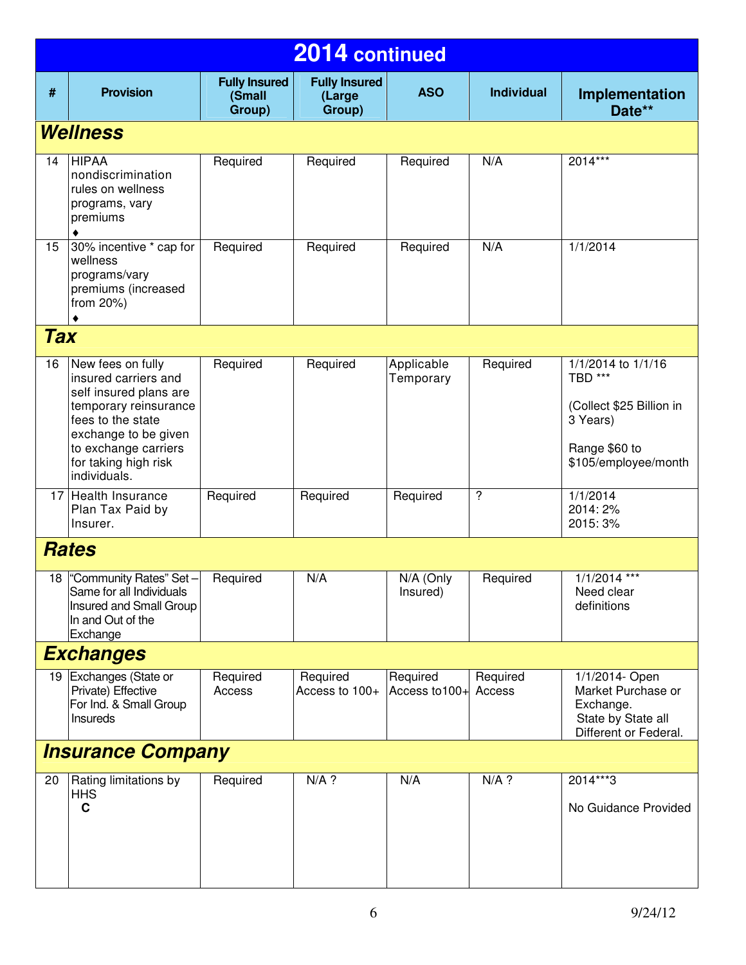| 2014 continued |                                                                                                                                                                                                           |                                          |                                          |                                |                          |                                                                                                                           |  |  |
|----------------|-----------------------------------------------------------------------------------------------------------------------------------------------------------------------------------------------------------|------------------------------------------|------------------------------------------|--------------------------------|--------------------------|---------------------------------------------------------------------------------------------------------------------------|--|--|
| #              | <b>Provision</b>                                                                                                                                                                                          | <b>Fully Insured</b><br>(Small<br>Group) | <b>Fully Insured</b><br>(Large<br>Group) | <b>ASO</b>                     | <b>Individual</b>        | Implementation<br>Date**                                                                                                  |  |  |
|                | Wellness                                                                                                                                                                                                  |                                          |                                          |                                |                          |                                                                                                                           |  |  |
| 14             | <b>HIPAA</b><br>nondiscrimination<br>rules on wellness<br>programs, vary<br>premiums                                                                                                                      | Required                                 | Required                                 | Required                       | N/A                      | $2014***$                                                                                                                 |  |  |
| 15             | 30% incentive * cap for<br>wellness<br>programs/vary<br>premiums (increased<br>from 20%)                                                                                                                  | Required                                 | Required                                 | Required                       | N/A                      | 1/1/2014                                                                                                                  |  |  |
| <b>Tax</b>     |                                                                                                                                                                                                           |                                          |                                          |                                |                          |                                                                                                                           |  |  |
| 16             | New fees on fully<br>insured carriers and<br>self insured plans are<br>temporary reinsurance<br>fees to the state<br>exchange to be given<br>to exchange carriers<br>for taking high risk<br>individuals. | Required                                 | Required                                 | Applicable<br>Temporary        | Required                 | $\sqrt{1/1/2014}$ to $1/1/16$<br>TBD ***<br>(Collect \$25 Billion in<br>3 Years)<br>Range \$60 to<br>\$105/employee/month |  |  |
|                | 17 Health Insurance<br>Plan Tax Paid by<br>Insurer.                                                                                                                                                       | Required                                 | Required                                 | Required                       | $\overline{\phantom{0}}$ | 1/1/2014<br>2014: 2%<br>2015: 3%                                                                                          |  |  |
|                | <b>Rates</b>                                                                                                                                                                                              |                                          |                                          |                                |                          |                                                                                                                           |  |  |
|                | 18 Community Rates" Set- Required<br>Same for all Individuals<br>Insured and Small Group<br>In and Out of the<br>Exchange                                                                                 |                                          | N/A                                      | N/A (Only Required<br>Insured) |                          | $1/1/2014$ ***<br>Need clear<br>definitions                                                                               |  |  |
|                | <b>Exchanges</b>                                                                                                                                                                                          |                                          |                                          |                                |                          |                                                                                                                           |  |  |
|                | 19 Exchanges (State or<br>Private) Effective<br>For Ind. & Small Group<br>Insureds                                                                                                                        | Required<br>Access                       | Required<br>Access to 100+               | Required<br>Access to 100+     | Required<br>Access       | 1/1/2014- Open<br>Market Purchase or<br>Exchange.<br>State by State all<br>Different or Federal.                          |  |  |
|                | <b>Insurance Company</b>                                                                                                                                                                                  |                                          |                                          |                                |                          |                                                                                                                           |  |  |
| 20             | Rating limitations by<br><b>HHS</b><br>$\mathbf c$                                                                                                                                                        | Required                                 | $N/A$ ?                                  | N/A                            | $N/A$ ?                  | 2014***3<br>No Guidance Provided                                                                                          |  |  |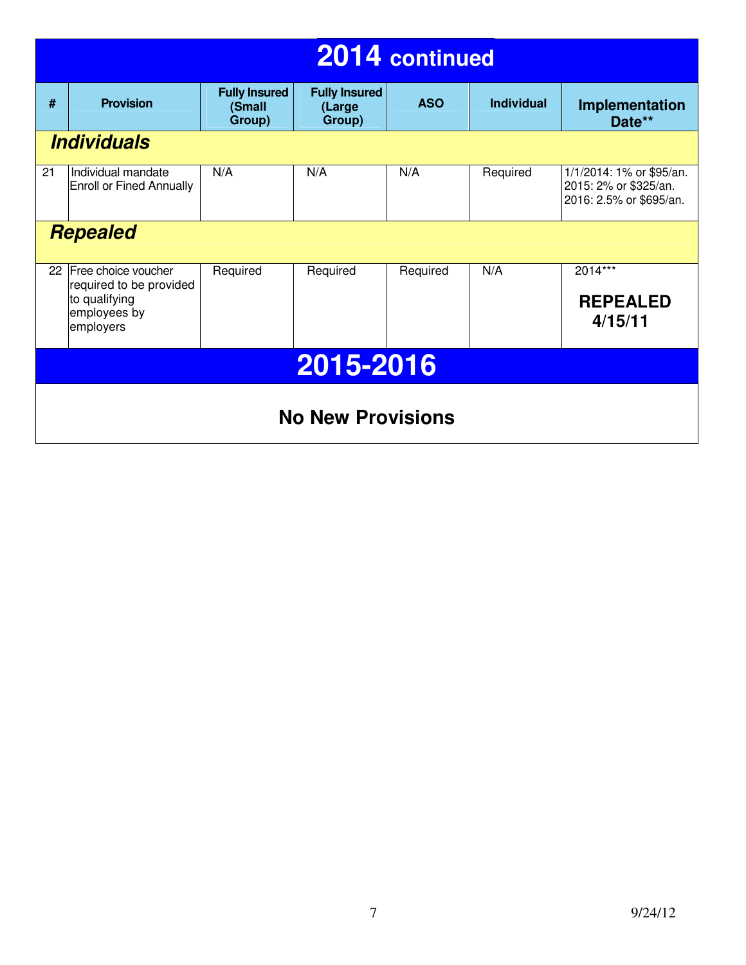|           | 2014 continued                                 |                                          |                                          |            |                   |                                                                              |  |  |  |
|-----------|------------------------------------------------|------------------------------------------|------------------------------------------|------------|-------------------|------------------------------------------------------------------------------|--|--|--|
| #         | <b>Provision</b>                               | <b>Fully Insured</b><br>(Small<br>Group) | <b>Fully Insured</b><br>(Large<br>Group) | <b>ASO</b> | <b>Individual</b> | Implementation<br>Date**                                                     |  |  |  |
|           | <b>Individuals</b>                             |                                          |                                          |            |                   |                                                                              |  |  |  |
| 21        | Individual mandate<br>Enroll or Fined Annually | N/A                                      | N/A                                      | N/A        | Required          | 1/1/2014: 1% or \$95/an.<br>2015: 2% or \$325/an.<br>2016: 2.5% or \$695/an. |  |  |  |
|           | <b>Repealed</b>                                |                                          |                                          |            |                   |                                                                              |  |  |  |
| 22        | Free choice voucher<br>required to be provided | Required                                 | Required                                 | Required   | N/A               | $201\overline{4***}$                                                         |  |  |  |
|           | to qualifying<br>employees by<br>employers     |                                          |                                          |            |                   | <b>REPEALED</b><br>4/15/11                                                   |  |  |  |
| 2015-2016 |                                                |                                          |                                          |            |                   |                                                                              |  |  |  |
|           | <b>No New Provisions</b>                       |                                          |                                          |            |                   |                                                                              |  |  |  |